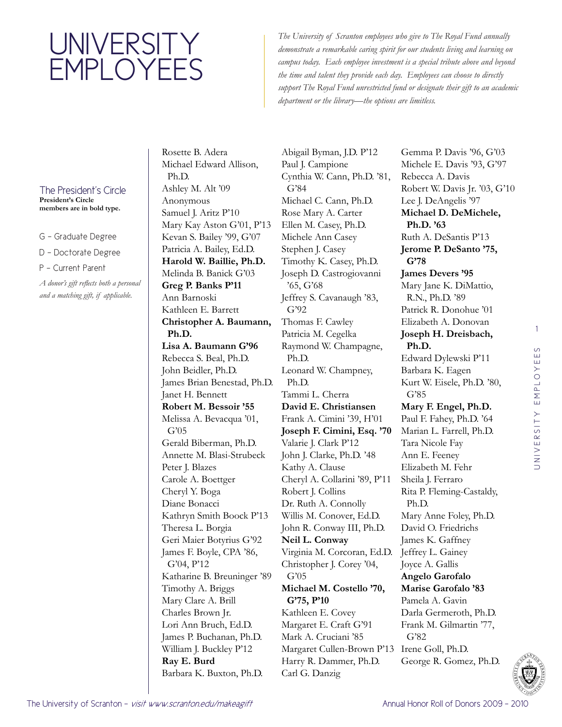## **UNIVERSITY EMPLOYEES**

*The University of Scranton employees who give to The Royal Fund annually demonstrate a remarkable caring spirit for our students living and learning on campus today. Each employee investment is a special tribute above and beyond the time and talent they provide each day. Employees can choose to directly support The Royal Fund unrestricted fund or designate their gift to an academic department or the library—the options are limitless.*

## The President's Circle **President's Circle members are in bold type.**

G - Graduate Degree

D - Doctorate Degree

P - Current Parent

*A donor's gift reflects both a personal and a matching gift, if applicable.* 

Rosette B. Adera Michael Edward Allison, Ph.D. Ashley M. Alt '09 Anonymous Samuel J. Aritz P'10 Mary Kay Aston G'01, P'13 Kevan S. Bailey '99, G'07 Patricia A. Bailey, Ed.D. **Harold W. Baillie, Ph.D.**  Melinda B. Banick G'03 **Greg P. Banks P'11** Ann Barnoski Kathleen E. Barrett **Christopher A. Baumann, Ph.D. Lisa A. Baumann G'96** Rebecca S. Beal, Ph.D. John Beidler, Ph.D. James Brian Benestad, Ph.D. Janet H. Bennett **Robert M. Bessoir '55** Melissa A. Bevacqua '01, G'05 Gerald Biberman, Ph.D. Annette M. Blasi-Strubeck Peter J. Blazes Carole A. Boettger Cheryl Y. Boga Diane Bonacci Kathryn Smith Boock P'13 Theresa L. Borgia Geri Maier Botyrius G'92 James F. Boyle, CPA '86, G'04, P'12 Katharine B. Breuninger '89 Timothy A. Briggs Mary Clare A. Brill Charles Brown Jr. Lori Ann Bruch, Ed.D. James P. Buchanan, Ph.D. William J. Buckley P'12 **Ray E. Burd**  Barbara K. Buxton, Ph.D.

Abigail Byman, J.D. P'12 Paul J. Campione Cynthia W. Cann, Ph.D. '81, G'84 Michael C. Cann, Ph.D. Rose Mary A. Carter Ellen M. Casey, Ph.D. Michele Ann Casey Stephen J. Casey Timothy K. Casey, Ph.D. Joseph D. Castrogiovanni '65, G'68 Jeffrey S. Cavanaugh '83, G'92 Thomas F. Cawley Patricia M. Cegelka Raymond W. Champagne, Ph.D. Leonard W. Champney, Ph.D. Tammi L. Cherra **David E. Christiansen**  Frank A. Cimini '39, H'01 **Joseph F. Cimini, Esq. '70** Valarie J. Clark P'12 John J. Clarke, Ph.D. '48 Kathy A. Clause Cheryl A. Collarini '89, P'11 Robert J. Collins Dr. Ruth A. Connolly Willis M. Conover, Ed.D. John R. Conway III, Ph.D. **Neil L. Conway**  Virginia M. Corcoran, Ed.D. Christopher J. Corey '04, G'05 **Michael M. Costello '70, G'75, P'10** Kathleen E. Covey Margaret E. Craft G'91 Mark A. Cruciani '85 Margaret Cullen-Brown P'13 Irene Goll, Ph.D. Harry R. Dammer, Ph.D. Carl G. Danzig

Gemma P. Davis '96, G'03 Michele E. Davis '93, G'97 Rebecca A. Davis Robert W. Davis Jr. '03, G'10 Lee J. DeAngelis '97 **Michael D. DeMichele, Ph.D. '63** Ruth A. DeSantis P'13 **Jerome P. DeSanto '75, G'78 James Devers '95** Mary Jane K. DiMattio, R.N., Ph.D. '89 Patrick R. Donohue '01 Elizabeth A. Donovan **Joseph H. Dreisbach, Ph.D.**  Edward Dylewski P'11 Barbara K. Eagen Kurt W. Eisele, Ph.D. '80, G'85 **Mary F. Engel, Ph.D.**  Paul F. Fahey, Ph.D. '64 Marian L. Farrell, Ph.D. Tara Nicole Fay Ann E. Feeney Elizabeth M. Fehr Sheila J. Ferraro Rita P. Fleming-Castaldy, Ph.D. Mary Anne Foley, Ph.D. David O. Friedrichs James K. Gaffney Jeffrey L. Gainey Joyce A. Gallis **Angelo Garofalo Marise Garofalo '83** Pamela A. Gavin Darla Germeroth, Ph.D. Frank M. Gilmartin '77, G'82 George R. Gomez, Ph.D.

1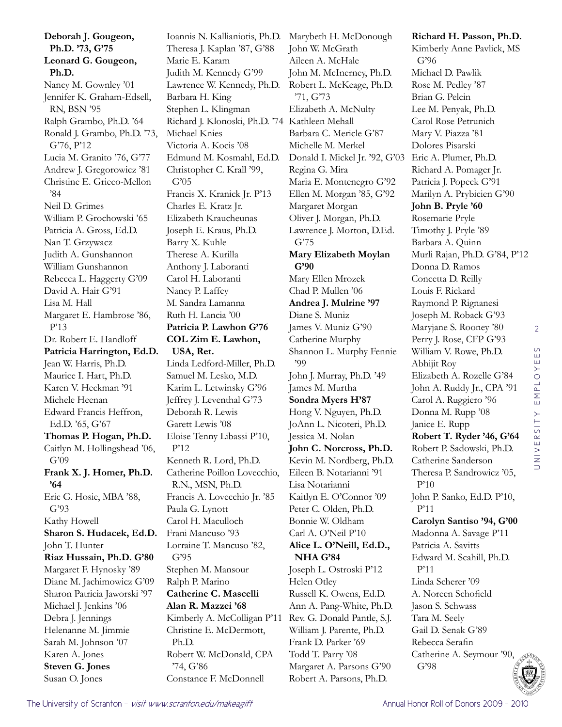**Deborah J. Gougeon, Ph.D. '73, G'75 Leonard G. Gougeon, Ph.D.**  Nancy M. Gownley '01 Jennifer K. Graham-Edsell, RN, BSN '95 Ralph Grambo, Ph.D. '64 Ronald J. Grambo, Ph.D. '73, G'76, P'12 Lucia M. Granito '76, G'77 Andrew J. Gregorowicz '81 Christine E. Grieco-Mellon '84 Neil D. Grimes William P. Grochowski '65 Patricia A. Gross, Ed.D. Nan T. Grzywacz Judith A. Gunshannon William Gunshannon Rebecca L. Haggerty G'09 David A. Hair G'91 Lisa M. Hall Margaret E. Hambrose '86, P'13 Dr. Robert E. Handloff **Patricia Harrington, Ed.D.**  Jean W. Harris, Ph.D. Maurice I. Hart, Ph.D. Karen V. Heckman '91 Michele Heenan Edward Francis Heffron, Ed.D. '65, G'67 **Thomas P. Hogan, Ph.D.**  Caitlyn M. Hollingshead '06, G'09 **Frank X. J. Homer, Ph.D. '64** Eric G. Hosie, MBA '88, G'93 Kathy Howell **Sharon S. Hudacek, Ed.D.**  John T. Hunter **Riaz Hussain, Ph.D. G'80** Margaret F. Hynosky '89 Diane M. Jachimowicz G'09 Sharon Patricia Jaworski '97 Michael J. Jenkins '06 Debra J. Jennings Helenanne M. Jimmie Sarah M. Johnson '07 Karen A. Jones **Steven G. Jones**  Susan O. Jones

Ioannis N. Kallianiotis, Ph.D. Marybeth H. McDonough Theresa J. Kaplan '87, G'88 Marie E. Karam Judith M. Kennedy G'99 Lawrence W. Kennedy, Ph.D. Barbara H. King Stephen L. Klingman Richard J. Klonoski, Ph.D. '74 Kathleen Mehall Michael Knies Victoria A. Kocis '08 Edmund M. Kosmahl, Ed.D. Christopher C. Krall '99, G'05 Francis X. Kranick Jr. P'13 Charles E. Kratz Jr. Elizabeth Kraucheunas Joseph E. Kraus, Ph.D. Barry X. Kuhle Therese A. Kurilla Anthony J. Laboranti Carol H. Laboranti Nancy P. Laffey M. Sandra Lamanna Ruth H. Lancia '00 **Patricia P. Lawhon G'76 COL Zim E. Lawhon, USA, Ret.**  Linda Ledford-Miller, Ph.D. Samuel M. Lesko, M.D. Karim L. Letwinsky G'96 Jeffrey J. Leventhal G'73 Deborah R. Lewis Garett Lewis '08 Eloise Tenny Libassi P'10, P'12 Kenneth R. Lord, Ph.D. Catherine Poillon Lovecchio, R.N., MSN, Ph.D. Francis A. Lovecchio Jr. '85 Paula G. Lynott Carol H. Maculloch Frani Mancuso '93 Lorraine T. Mancuso '82, G'95 Stephen M. Mansour Ralph P. Marino **Catherine C. Mascelli Alan R. Mazzei '68** Kimberly A. McColligan P'11 Christine E. McDermott, Ph.D. Robert W. McDonald, CPA '74, G'86 Constance F. McDonnell

John W. McGrath Aileen A. McHale John M. McInerney, Ph.D. Robert L. McKeage, Ph.D. '71, G'73 Elizabeth A. McNulty Barbara C. Mericle G'87 Michelle M. Merkel Donald I. Mickel Jr. '92, G'03 Regina G. Mira Maria E. Montenegro G'92 Ellen M. Morgan '85, G'92 Margaret Morgan Oliver J. Morgan, Ph.D. Lawrence J. Morton, D.Ed. G'75 **Mary Elizabeth Moylan G'90** Mary Ellen Mrozek Chad P. Mullen '06 **Andrea J. Mulrine '97** Diane S. Muniz James V. Muniz G'90 Catherine Murphy Shannon L. Murphy Fennie '99 John J. Murray, Ph.D. '49 James M. Murtha **Sondra Myers H'87** Hong V. Nguyen, Ph.D. JoAnn L. Nicoteri, Ph.D. Jessica M. Nolan **John C. Norcross, Ph.D.**  Kevin M. Nordberg, Ph.D. Eileen B. Notarianni '91 Lisa Notarianni Kaitlyn E. O'Connor '09 Peter C. Olden, Ph.D. Bonnie W. Oldham Carl A. O'Neil P'10 **Alice L. O'Neill, Ed.D., NHA G'84** Joseph L. Ostroski P'12 Helen Otley Russell K. Owens, Ed.D. Ann A. Pang-White, Ph.D. Rev. G. Donald Pantle, S.J. William J. Parente, Ph.D. Frank D. Parker '69 Todd T. Parry '08 Margaret A. Parsons G'90 Robert A. Parsons, Ph.D.

**Richard H. Passon, Ph.D.**  Kimberly Anne Pavlick, MS G'96 Michael D. Pawlik Rose M. Pedley '87 Brian G. Pelcin Lee M. Penyak, Ph.D. Carol Rose Petrunich Mary V. Piazza '81 Dolores Pisarski Eric A. Plumer, Ph.D. Richard A. Pomager Jr. Patricia J. Popeck G'91 Marilyn A. Prybicien G'90 **John B. Pryle '60** Rosemarie Pryle Timothy J. Pryle '89 Barbara A. Quinn Murli Rajan, Ph.D. G'84, P'12 Donna D. Ramos Concetta D. Reilly Louis F. Rickard Raymond P. Rignanesi Joseph M. Roback G'93 Maryjane S. Rooney '80 Perry J. Rose, CFP G'93 William V. Rowe, Ph.D. Abhijit Roy Elizabeth A. Rozelle G'84 John A. Ruddy Jr., CPA '91 Carol A. Ruggiero '96 Donna M. Rupp '08 Janice E. Rupp **Robert T. Ryder '46, G'64** Robert P. Sadowski, Ph.D. Catherine Sanderson Theresa P. Sandrowicz '05, P'10 John P. Sanko, Ed.D. P'10, P'11 **Carolyn Santiso '94, G'00** Madonna A. Savage P'11 Patricia A. Savitts Edward M. Scahill, Ph.D. P'11 Linda Scherer '09 A. Noreen Schofield Jason S. Schwass Tara M. Seely Gail D. Senak G'89 Rebecca Serafin Catherine A. Seymour '90,

G'98